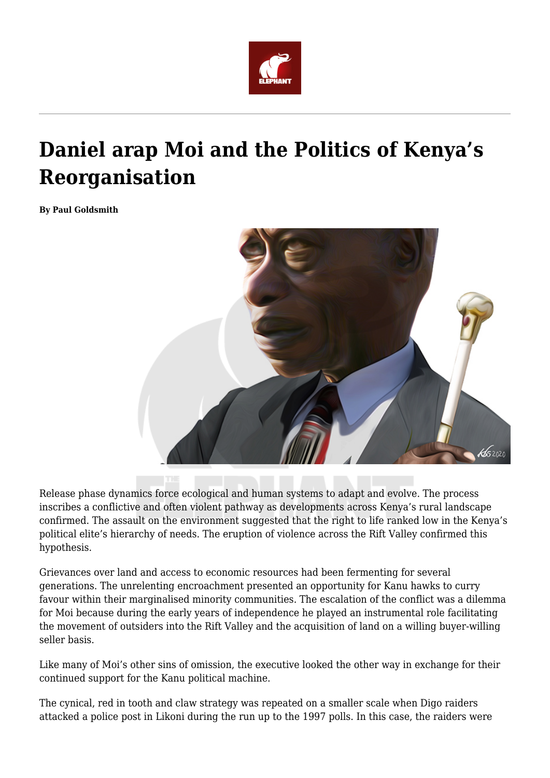

## **Daniel arap Moi and the Politics of Kenya's Reorganisation**

**By Paul Goldsmith**



Release phase dynamics force ecological and human systems to adapt and evolve. The process inscribes a conflictive and often violent pathway as developments across Kenya's rural landscape confirmed. The assault on the environment suggested that the right to life ranked low in the Kenya's political elite's hierarchy of needs. The eruption of violence across the Rift Valley confirmed this hypothesis.

Grievances over land and access to economic resources had been fermenting for several generations. The unrelenting encroachment presented an opportunity for Kanu hawks to curry favour within their marginalised minority communities. The escalation of the conflict was a dilemma for Moi because during the early years of independence he played an instrumental role facilitating the movement of outsiders into the Rift Valley and the acquisition of land on a willing buyer-willing seller basis.

Like many of Moi's other sins of omission, the executive looked the other way in exchange for their continued support for the Kanu political machine.

The cynical, red in tooth and claw strategy was repeated on a smaller scale when Digo raiders attacked a police post in Likoni during the run up to the 1997 polls. In this case, the raiders were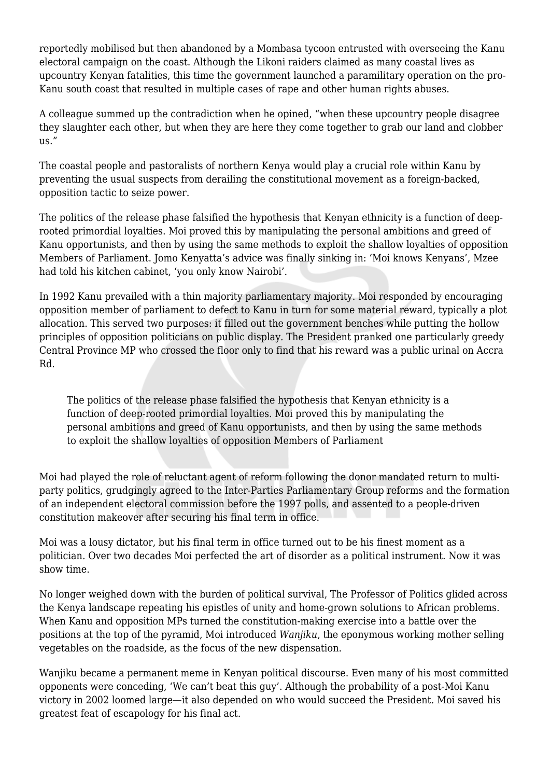reportedly mobilised but then abandoned by a Mombasa tycoon entrusted with overseeing the Kanu electoral campaign on the coast. Although the Likoni raiders claimed as many coastal lives as upcountry Kenyan fatalities, this time the government launched a paramilitary operation on the pro-Kanu south coast that resulted in multiple cases of rape and other human rights abuses.

A colleague summed up the contradiction when he opined, "when these upcountry people disagree they slaughter each other, but when they are here they come together to grab our land and clobber us."

The coastal people and pastoralists of northern Kenya would play a crucial role within Kanu by preventing the usual suspects from derailing the constitutional movement as a foreign-backed, opposition tactic to seize power.

The politics of the release phase falsified the hypothesis that Kenyan ethnicity is a function of deeprooted primordial loyalties. Moi proved this by manipulating the personal ambitions and greed of Kanu opportunists, and then by using the same methods to exploit the shallow loyalties of opposition Members of Parliament. Jomo Kenyatta's advice was finally sinking in: 'Moi knows Kenyans', Mzee had told his kitchen cabinet, 'you only know Nairobi'.

In 1992 Kanu prevailed with a thin majority parliamentary majority. Moi responded by encouraging opposition member of parliament to defect to Kanu in turn for some material reward, typically a plot allocation. This served two purposes: it filled out the government benches while putting the hollow principles of opposition politicians on public display. The President pranked one particularly greedy Central Province MP who crossed the floor only to find that his reward was a public urinal on Accra Rd.

The politics of the release phase falsified the hypothesis that Kenyan ethnicity is a function of deep-rooted primordial loyalties. Moi proved this by manipulating the personal ambitions and greed of Kanu opportunists, and then by using the same methods to exploit the shallow loyalties of opposition Members of Parliament

Moi had played the role of reluctant agent of reform following the donor mandated return to multiparty politics, grudgingly agreed to the Inter-Parties Parliamentary Group reforms and the formation of an independent electoral commission before the 1997 polls, and assented to a people-driven constitution makeover after securing his final term in office.

Moi was a lousy dictator, but his final term in office turned out to be his finest moment as a politician. Over two decades Moi perfected the art of disorder as a political instrument. Now it was show time.

No longer weighed down with the burden of political survival, The Professor of Politics glided across the Kenya landscape repeating his epistles of unity and home-grown solutions to African problems. When Kanu and opposition MPs turned the constitution-making exercise into a battle over the positions at the top of the pyramid, Moi introduced *Wanjiku*, the eponymous working mother selling vegetables on the roadside, as the focus of the new dispensation.

Wanjiku became a permanent meme in Kenyan political discourse. Even many of his most committed opponents were conceding, 'We can't beat this guy'. Although the probability of a post-Moi Kanu victory in 2002 loomed large—it also depended on who would succeed the President. Moi saved his greatest feat of escapology for his final act.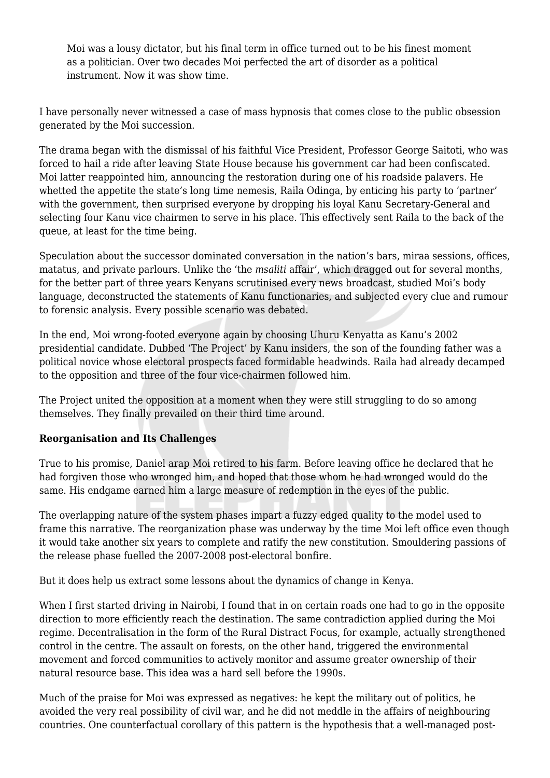Moi was a lousy dictator, but his final term in office turned out to be his finest moment as a politician. Over two decades Moi perfected the art of disorder as a political instrument. Now it was show time.

I have personally never witnessed a case of mass hypnosis that comes close to the public obsession generated by the Moi succession.

The drama began with the dismissal of his faithful Vice President, Professor George Saitoti, who was forced to hail a ride after leaving State House because his government car had been confiscated. Moi latter reappointed him, announcing the restoration during one of his roadside palavers. He whetted the appetite the state's long time nemesis, Raila Odinga, by enticing his party to 'partner' with the government, then surprised everyone by dropping his loyal Kanu Secretary-General and selecting four Kanu vice chairmen to serve in his place. This effectively sent Raila to the back of the queue, at least for the time being.

Speculation about the successor dominated conversation in the nation's bars, miraa sessions, offices, matatus, and private parlours. Unlike the 'the *msaliti* affair', which dragged out for several months, for the better part of three years Kenyans scrutinised every news broadcast, studied Moi's body language, deconstructed the statements of Kanu functionaries, and subjected every clue and rumour to forensic analysis. Every possible scenario was debated.

In the end, Moi wrong-footed everyone again by choosing Uhuru Kenyatta as Kanu's 2002 presidential candidate. Dubbed 'The Project' by Kanu insiders, the son of the founding father was a political novice whose electoral prospects faced formidable headwinds. Raila had already decamped to the opposition and three of the four vice-chairmen followed him.

The Project united the opposition at a moment when they were still struggling to do so among themselves. They finally prevailed on their third time around.

## **Reorganisation and Its Challenges**

True to his promise, Daniel arap Moi retired to his farm. Before leaving office he declared that he had forgiven those who wronged him, and hoped that those whom he had wronged would do the same. His endgame earned him a large measure of redemption in the eyes of the public.

The overlapping nature of the system phases impart a fuzzy edged quality to the model used to frame this narrative. The reorganization phase was underway by the time Moi left office even though it would take another six years to complete and ratify the new constitution. Smouldering passions of the release phase fuelled the 2007-2008 post-electoral bonfire.

But it does help us extract some lessons about the dynamics of change in Kenya.

When I first started driving in Nairobi, I found that in on certain roads one had to go in the opposite direction to more efficiently reach the destination. The same contradiction applied during the Moi regime. Decentralisation in the form of the Rural Distract Focus, for example, actually strengthened control in the centre. The assault on forests, on the other hand, triggered the environmental movement and forced communities to actively monitor and assume greater ownership of their natural resource base. This idea was a hard sell before the 1990s.

Much of the praise for Moi was expressed as negatives: he kept the military out of politics, he avoided the very real possibility of civil war, and he did not meddle in the affairs of neighbouring countries. One counterfactual corollary of this pattern is the hypothesis that a well-managed post-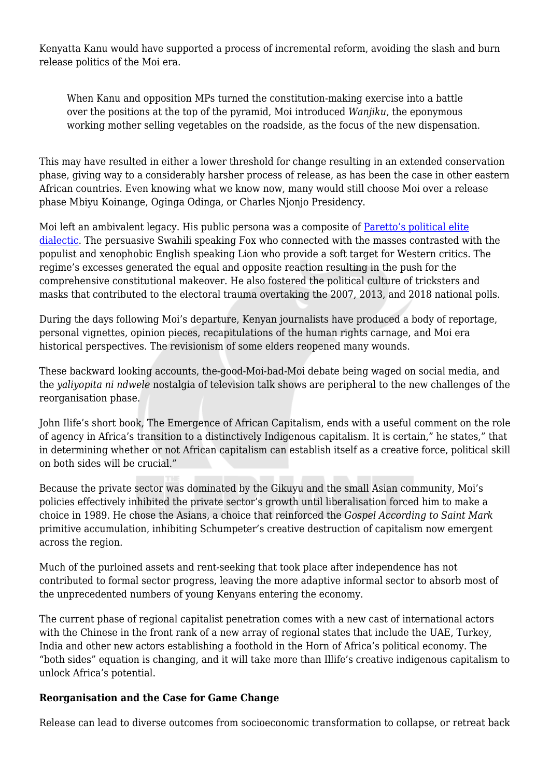Kenyatta Kanu would have supported a process of incremental reform, avoiding the slash and burn release politics of the Moi era.

When Kanu and opposition MPs turned the constitution-making exercise into a battle over the positions at the top of the pyramid, Moi introduced *Wanjiku*, the eponymous working mother selling vegetables on the roadside, as the focus of the new dispensation.

This may have resulted in either a lower threshold for change resulting in an extended conservation phase, giving way to a considerably harsher process of release, as has been the case in other eastern African countries. Even knowing what we know now, many would still choose Moi over a release phase Mbiyu Koinange, Oginga Odinga, or Charles Njonjo Presidency.

Moi left an ambivalent legacy. His public persona was a composite of **[Paretto's political elite](https://www.ool.co.uk/blog/elites-foxes-lions/)** [dialectic](https://www.ool.co.uk/blog/elites-foxes-lions/). The persuasive Swahili speaking Fox who connected with the masses contrasted with the populist and xenophobic English speaking Lion who provide a soft target for Western critics. The regime's excesses generated the equal and opposite reaction resulting in the push for the comprehensive constitutional makeover. He also fostered the political culture of tricksters and masks that contributed to the electoral trauma overtaking the 2007, 2013, and 2018 national polls.

During the days following Moi's departure, Kenyan journalists have produced a body of reportage, personal vignettes, opinion pieces, recapitulations of the human rights carnage, and Moi era historical perspectives. The revisionism of some elders reopened many wounds.

These backward looking accounts, the-good-Moi-bad-Moi debate being waged on social media, and the *yaliyopita ni ndwele* nostalgia of television talk shows are peripheral to the new challenges of the reorganisation phase.

John Ilife's short book, The Emergence of African Capitalism, ends with a useful comment on the role of agency in Africa's transition to a distinctively Indigenous capitalism. It is certain," he states," that in determining whether or not African capitalism can establish itself as a creative force, political skill on both sides will be crucial."

Because the private sector was dominated by the Gikuyu and the small Asian community, Moi's policies effectively inhibited the private sector's growth until liberalisation forced him to make a choice in 1989. He chose the Asians, a choice that reinforced the *Gospel According to Saint Mark* primitive accumulation, inhibiting Schumpeter's creative destruction of capitalism now emergent across the region.

Much of the purloined assets and rent-seeking that took place after independence has not contributed to formal sector progress, leaving the more adaptive informal sector to absorb most of the unprecedented numbers of young Kenyans entering the economy.

The current phase of regional capitalist penetration comes with a new cast of international actors with the Chinese in the front rank of a new array of regional states that include the UAE, Turkey, India and other new actors establishing a foothold in the Horn of Africa's political economy. The "both sides" equation is changing, and it will take more than Illife's creative indigenous capitalism to unlock Africa's potential.

## **Reorganisation and the Case for Game Change**

Release can lead to diverse outcomes from socioeconomic transformation to collapse, or retreat back